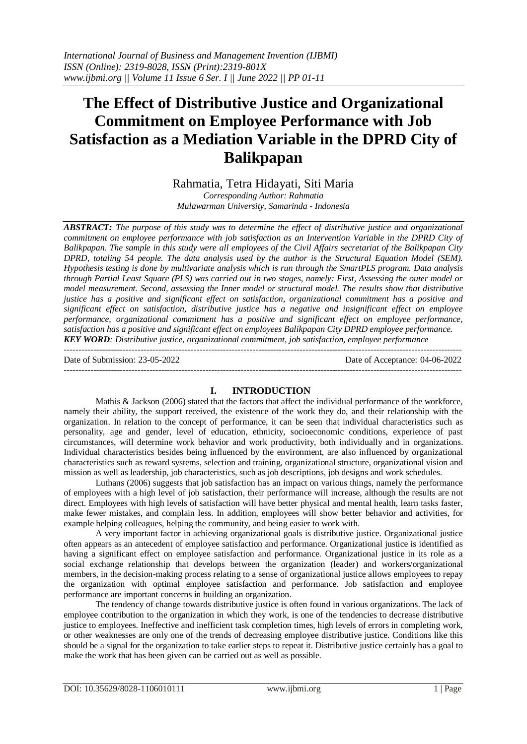# **The Effect of Distributive Justice and Organizational Commitment on Employee Performance with Job Satisfaction as a Mediation Variable in the DPRD City of Balikpapan**

Rahmatia, Tetra Hidayati, Siti Maria *Corresponding Author: Rahmatia Mulawarman University, Samarinda - Indonesia*

*ABSTRACT: The purpose of this study was to determine the effect of distributive justice and organizational commitment on employee performance with job satisfaction as an Intervention Variable in the DPRD City of Balikpapan. The sample in this study were all employees of the Civil Affairs secretariat of the Balikpapan City DPRD, totaling 54 people. The data analysis used by the author is the Structural Equation Model (SEM). Hypothesis testing is done by multivariate analysis which is run through the SmartPLS program. Data analysis through Partial Least Square (PLS) was carried out in two stages, namely: First, Assessing the outer model or model measurement. Second, assessing the Inner model or structural model. The results show that distributive justice has a positive and significant effect on satisfaction, organizational commitment has a positive and significant effect on satisfaction, distributive justice has a negative and insignificant effect on employee performance, organizational commitment has a positive and significant effect on employee performance, satisfaction has a positive and significant effect on employees Balikpapan City DPRD employee performance. KEY WORD: Distributive justice, organizational commitment, job satisfaction, employee performance*

Date of Submission: 23-05-2022 Date of Acceptance: 04-06-2022

#### ---------------------------------------------------------------------------------------------------------------------------------------

#### **I. INTRODUCTION**

Mathis & Jackson (2006) stated that the factors that affect the individual performance of the workforce, namely their ability, the support received, the existence of the work they do, and their relationship with the organization. In relation to the concept of performance, it can be seen that individual characteristics such as personality, age and gender, level of education, ethnicity, socioeconomic conditions, experience of past circumstances, will determine work behavior and work productivity, both individually and in organizations. Individual characteristics besides being influenced by the environment, are also influenced by organizational characteristics such as reward systems, selection and training, organizational structure, organizational vision and mission as well as leadership, job characteristics, such as job descriptions, job designs and work schedules.

Luthans (2006) suggests that job satisfaction has an impact on various things, namely the performance of employees with a high level of job satisfaction, their performance will increase, although the results are not direct. Employees with high levels of satisfaction will have better physical and mental health, learn tasks faster, make fewer mistakes, and complain less. In addition, employees will show better behavior and activities, for example helping colleagues, helping the community, and being easier to work with.

A very important factor in achieving organizational goals is distributive justice. Organizational justice often appears as an antecedent of employee satisfaction and performance. Organizational justice is identified as having a significant effect on employee satisfaction and performance. Organizational justice in its role as a social exchange relationship that develops between the organization (leader) and workers/organizational members, in the decision-making process relating to a sense of organizational justice allows employees to repay the organization with optimal employee satisfaction and performance. Job satisfaction and employee performance are important concerns in building an organization.

The tendency of change towards distributive justice is often found in various organizations. The lack of employee contribution to the organization in which they work, is one of the tendencies to decrease distributive justice to employees. Ineffective and inefficient task completion times, high levels of errors in completing work, or other weaknesses are only one of the trends of decreasing employee distributive justice. Conditions like this should be a signal for the organization to take earlier steps to repeat it. Distributive justice certainly has a goal to make the work that has been given can be carried out as well as possible.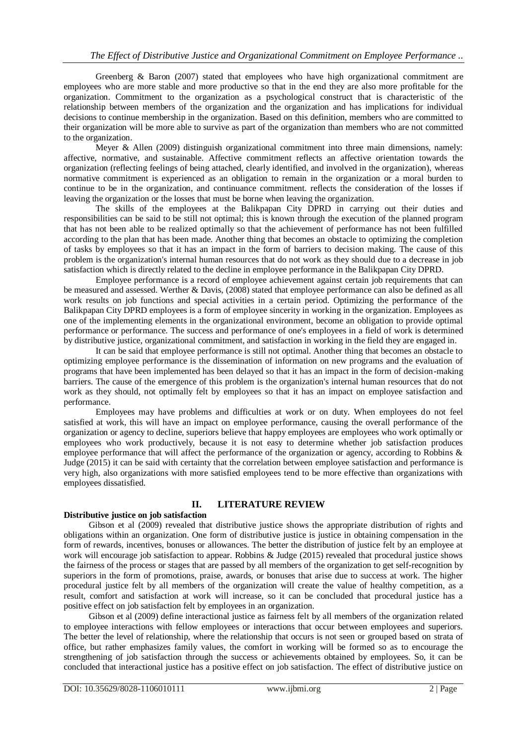Greenberg & Baron (2007) stated that employees who have high organizational commitment are employees who are more stable and more productive so that in the end they are also more profitable for the organization. Commitment to the organization as a psychological construct that is characteristic of the relationship between members of the organization and the organization and has implications for individual decisions to continue membership in the organization. Based on this definition, members who are committed to their organization will be more able to survive as part of the organization than members who are not committed to the organization.

Meyer & Allen (2009) distinguish organizational commitment into three main dimensions, namely: affective, normative, and sustainable. Affective commitment reflects an affective orientation towards the organization (reflecting feelings of being attached, clearly identified, and involved in the organization), whereas normative commitment is experienced as an obligation to remain in the organization or a moral burden to continue to be in the organization, and continuance commitment. reflects the consideration of the losses if leaving the organization or the losses that must be borne when leaving the organization.

The skills of the employees at the Balikpapan City DPRD in carrying out their duties and responsibilities can be said to be still not optimal; this is known through the execution of the planned program that has not been able to be realized optimally so that the achievement of performance has not been fulfilled according to the plan that has been made. Another thing that becomes an obstacle to optimizing the completion of tasks by employees so that it has an impact in the form of barriers to decision making. The cause of this problem is the organization's internal human resources that do not work as they should due to a decrease in job satisfaction which is directly related to the decline in employee performance in the Balikpapan City DPRD.

Employee performance is a record of employee achievement against certain job requirements that can be measured and assessed. Werther & Davis, (2008) stated that employee performance can also be defined as all work results on job functions and special activities in a certain period. Optimizing the performance of the Balikpapan City DPRD employees is a form of employee sincerity in working in the organization. Employees as one of the implementing elements in the organizational environment, become an obligation to provide optimal performance or performance. The success and performance of one's employees in a field of work is determined by distributive justice, organizational commitment, and satisfaction in working in the field they are engaged in.

It can be said that employee performance is still not optimal. Another thing that becomes an obstacle to optimizing employee performance is the dissemination of information on new programs and the evaluation of programs that have been implemented has been delayed so that it has an impact in the form of decision-making barriers. The cause of the emergence of this problem is the organization's internal human resources that do not work as they should, not optimally felt by employees so that it has an impact on employee satisfaction and performance.

Employees may have problems and difficulties at work or on duty. When employees do not feel satisfied at work, this will have an impact on employee performance, causing the overall performance of the organization or agency to decline, superiors believe that happy employees are employees who work optimally or employees who work productively, because it is not easy to determine whether job satisfaction produces employee performance that will affect the performance of the organization or agency, according to Robbins & Judge (2015) it can be said with certainty that the correlation between employee satisfaction and performance is very high, also organizations with more satisfied employees tend to be more effective than organizations with employees dissatisfied.

## **II. LITERATURE REVIEW**

### **Distributive justice on job satisfaction**

Gibson et al (2009) revealed that distributive justice shows the appropriate distribution of rights and obligations within an organization. One form of distributive justice is justice in obtaining compensation in the form of rewards, incentives, bonuses or allowances. The better the distribution of justice felt by an employee at work will encourage job satisfaction to appear. Robbins & Judge (2015) revealed that procedural justice shows the fairness of the process or stages that are passed by all members of the organization to get self-recognition by superiors in the form of promotions, praise, awards, or bonuses that arise due to success at work. The higher procedural justice felt by all members of the organization will create the value of healthy competition, as a result, comfort and satisfaction at work will increase, so it can be concluded that procedural justice has a positive effect on job satisfaction felt by employees in an organization.

Gibson et al (2009) define interactional justice as fairness felt by all members of the organization related to employee interactions with fellow employees or interactions that occur between employees and superiors. The better the level of relationship, where the relationship that occurs is not seen or grouped based on strata of office, but rather emphasizes family values, the comfort in working will be formed so as to encourage the strengthening of job satisfaction through the success or achievements obtained by employees. So, it can be concluded that interactional justice has a positive effect on job satisfaction. The effect of distributive justice on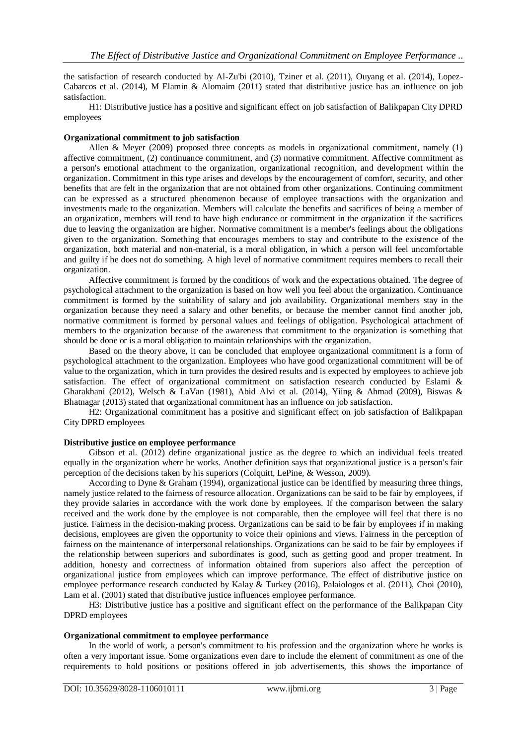the satisfaction of research conducted by Al-Zu'bi (2010), Tziner et al. (2011), Ouyang et al. (2014), Lopez-Cabarcos et al. (2014), M Elamin & Alomaim (2011) stated that distributive justice has an influence on job satisfaction.

H1: Distributive justice has a positive and significant effect on job satisfaction of Balikpapan City DPRD employees

#### **Organizational commitment to job satisfaction**

Allen & Meyer (2009) proposed three concepts as models in organizational commitment, namely  $(1)$ affective commitment, (2) continuance commitment, and (3) normative commitment. Affective commitment as a person's emotional attachment to the organization, organizational recognition, and development within the organization. Commitment in this type arises and develops by the encouragement of comfort, security, and other benefits that are felt in the organization that are not obtained from other organizations. Continuing commitment can be expressed as a structured phenomenon because of employee transactions with the organization and investments made to the organization. Members will calculate the benefits and sacrifices of being a member of an organization, members will tend to have high endurance or commitment in the organization if the sacrifices due to leaving the organization are higher. Normative commitment is a member's feelings about the obligations given to the organization. Something that encourages members to stay and contribute to the existence of the organization, both material and non-material, is a moral obligation, in which a person will feel uncomfortable and guilty if he does not do something. A high level of normative commitment requires members to recall their organization.

Affective commitment is formed by the conditions of work and the expectations obtained. The degree of psychological attachment to the organization is based on how well you feel about the organization. Continuance commitment is formed by the suitability of salary and job availability. Organizational members stay in the organization because they need a salary and other benefits, or because the member cannot find another job, normative commitment is formed by personal values and feelings of obligation. Psychological attachment of members to the organization because of the awareness that commitment to the organization is something that should be done or is a moral obligation to maintain relationships with the organization.

Based on the theory above, it can be concluded that employee organizational commitment is a form of psychological attachment to the organization. Employees who have good organizational commitment will be of value to the organization, which in turn provides the desired results and is expected by employees to achieve job satisfaction. The effect of organizational commitment on satisfaction research conducted by Eslami & Gharakhani (2012), Welsch & LaVan (1981), Abid Alvi et al. (2014), Yiing & Ahmad (2009), Biswas & Bhatnagar (2013) stated that organizational commitment has an influence on job satisfaction.

H2: Organizational commitment has a positive and significant effect on job satisfaction of Balikpapan City DPRD employees

#### **Distributive justice on employee performance**

Gibson et al. (2012) define organizational justice as the degree to which an individual feels treated equally in the organization where he works. Another definition says that organizational justice is a person's fair perception of the decisions taken by his superiors (Colquitt, LePine, & Wesson, 2009).

According to Dyne & Graham (1994), organizational justice can be identified by measuring three things, namely justice related to the fairness of resource allocation. Organizations can be said to be fair by employees, if they provide salaries in accordance with the work done by employees. If the comparison between the salary received and the work done by the employee is not comparable, then the employee will feel that there is no justice. Fairness in the decision-making process. Organizations can be said to be fair by employees if in making decisions, employees are given the opportunity to voice their opinions and views. Fairness in the perception of fairness on the maintenance of interpersonal relationships. Organizations can be said to be fair by employees if the relationship between superiors and subordinates is good, such as getting good and proper treatment. In addition, honesty and correctness of information obtained from superiors also affect the perception of organizational justice from employees which can improve performance. The effect of distributive justice on employee performance research conducted by Kalay & Turkey (2016), Palaiologos et al. (2011), Choi (2010), Lam et al. (2001) stated that distributive justice influences employee performance.

H3: Distributive justice has a positive and significant effect on the performance of the Balikpapan City DPRD employees

#### **Organizational commitment to employee performance**

In the world of work, a person's commitment to his profession and the organization where he works is often a very important issue. Some organizations even dare to include the element of commitment as one of the requirements to hold positions or positions offered in job advertisements, this shows the importance of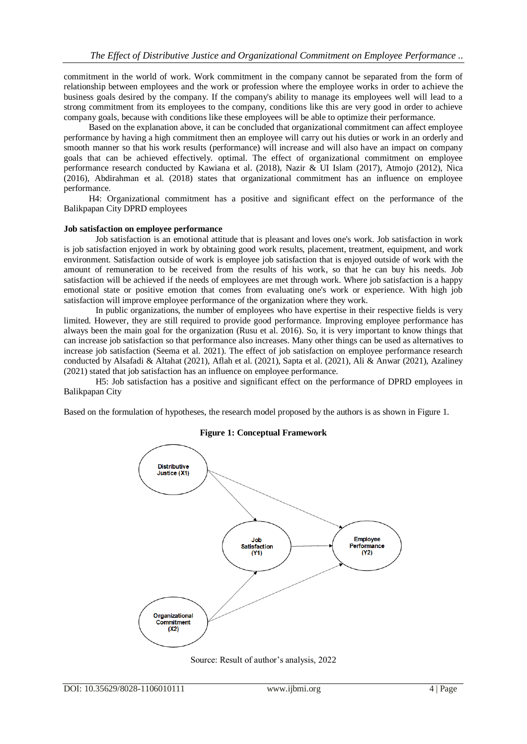commitment in the world of work. Work commitment in the company cannot be separated from the form of relationship between employees and the work or profession where the employee works in order to achieve the business goals desired by the company. If the company's ability to manage its employees well will lead to a strong commitment from its employees to the company, conditions like this are very good in order to achieve company goals, because with conditions like these employees will be able to optimize their performance.

Based on the explanation above, it can be concluded that organizational commitment can affect employee performance by having a high commitment then an employee will carry out his duties or work in an orderly and smooth manner so that his work results (performance) will increase and will also have an impact on company goals that can be achieved effectively. optimal. The effect of organizational commitment on employee performance research conducted by Kawiana et al. (2018), Nazir & UI Islam (2017), Atmojo (2012), Nica (2016), Abdirahman et al. (2018) states that organizational commitment has an influence on employee performance.

H4: Organizational commitment has a positive and significant effect on the performance of the Balikpapan City DPRD employees

#### **Job satisfaction on employee performance**

Job satisfaction is an emotional attitude that is pleasant and loves one's work. Job satisfaction in work is job satisfaction enjoyed in work by obtaining good work results, placement, treatment, equipment, and work environment. Satisfaction outside of work is employee job satisfaction that is enjoyed outside of work with the amount of remuneration to be received from the results of his work, so that he can buy his needs. Job satisfaction will be achieved if the needs of employees are met through work. Where job satisfaction is a happy emotional state or positive emotion that comes from evaluating one's work or experience. With high job satisfaction will improve employee performance of the organization where they work.

In public organizations, the number of employees who have expertise in their respective fields is very limited. However, they are still required to provide good performance. Improving employee performance has always been the main goal for the organization (Rusu et al. 2016). So, it is very important to know things that can increase job satisfaction so that performance also increases. Many other things can be used as alternatives to increase job satisfaction (Seema et al. 2021). The effect of job satisfaction on employee performance research conducted by Alsafadi & Altahat (2021), Aflah et al. (2021), Sapta et al. (2021), Ali & Anwar (2021), Azaliney (2021) stated that job satisfaction has an influence on employee performance.

H5: Job satisfaction has a positive and significant effect on the performance of DPRD employees in Balikpapan City

Based on the formulation of hypotheses, the research model proposed by the authors is as shown in Figure 1.

### **Figure 1: Conceptual Framework**



Source: Result of author's analysis, 2022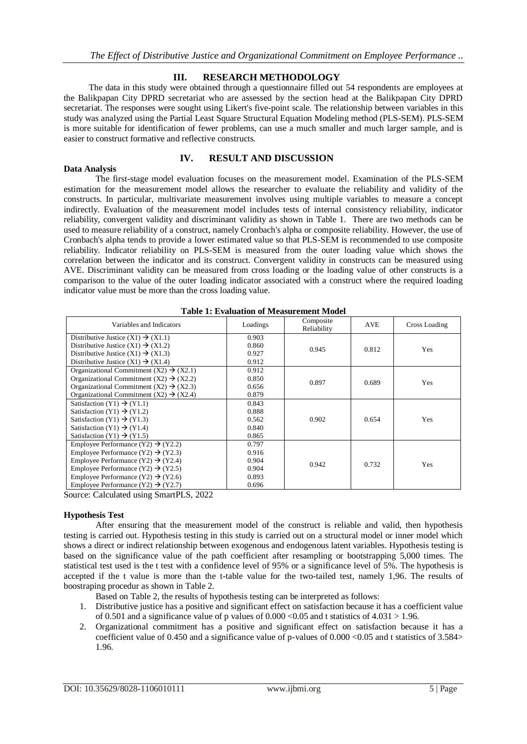## **III. RESEARCH METHODOLOGY**

The data in this study were obtained through a questionnaire filled out 54 respondents are employees at the Balikpapan City DPRD secretariat who are assessed by the section head at the Balikpapan City DPRD secretariat. The responses were sought using Likert's five-point scale. The relationship between variables in this study was analyzed using the Partial Least Square Structural Equation Modeling method (PLS-SEM). PLS-SEM is more suitable for identification of fewer problems, can use a much smaller and much larger sample, and is easier to construct formative and reflective constructs.

#### **IV. RESULT AND DISCUSSION**

**Data Analysis** The first-stage model evaluation focuses on the measurement model. Examination of the PLS-SEM estimation for the measurement model allows the researcher to evaluate the reliability and validity of the constructs. In particular, multivariate measurement involves using multiple variables to measure a concept indirectly. Evaluation of the measurement model includes tests of internal consistency reliability, indicator reliability, convergent validity and discriminant validity as shown in Table 1. There are two methods can be used to measure reliability of a construct, namely Cronbach's alpha or composite reliability. However, the use of Cronbach's alpha tends to provide a lower estimated value so that PLS-SEM is recommended to use composite reliability. Indicator reliability on PLS-SEM is measured from the outer loading value which shows the correlation between the indicator and its construct. Convergent validity in constructs can be measured using AVE. Discriminant validity can be measured from cross loading or the loading value of other constructs is a comparison to the value of the outer loading indicator associated with a construct where the required loading indicator value must be more than the cross loading value.

|                                                     |          | Table 1. Evaluation of Nicasul chiefle Model |       |               |
|-----------------------------------------------------|----------|----------------------------------------------|-------|---------------|
| Variables and Indicators                            | Loadings | Composite<br>Reliability                     | AVE   | Cross Loading |
| Distributive Justice $(X1) \rightarrow (X1.1)$      | 0.903    |                                              |       |               |
| Distributive Justice $(X1) \rightarrow (X1.2)$      | 0.860    | 0.945                                        | 0.812 | Yes           |
| Distributive Justice $(X1) \rightarrow (X1.3)$      | 0.927    |                                              |       |               |
| Distributive Justice $(X1) \rightarrow (X1.4)$      | 0.912    |                                              |       |               |
| Organizational Commitment (X2) $\rightarrow$ (X2.1) | 0.912    |                                              |       |               |
| Organizational Commitment (X2) $\rightarrow$ (X2.2) | 0.850    |                                              |       |               |
| Organizational Commitment (X2) $\rightarrow$ (X2.3) | 0.656    | 0.897                                        | 0.689 | Yes           |
| Organizational Commitment (X2) $\rightarrow$ (X2.4) | 0.879    |                                              |       |               |
| Satisfaction $(Y1) \rightarrow (Y1.1)$              | 0.843    |                                              |       |               |
| Satisfaction (Y1) $\rightarrow$ (Y1.2)              | 0.888    |                                              |       |               |
| Satisfaction (Y1) $\rightarrow$ (Y1.3)              | 0.562    | 0.902                                        | 0.654 | Yes           |
| Satisfaction (Y1) $\rightarrow$ (Y1.4)              | 0.840    |                                              |       |               |
| Satisfaction (Y1) $\rightarrow$ (Y1.5)              | 0.865    |                                              |       |               |
| Employee Performance (Y2) $\rightarrow$ (Y2.2)      | 0.797    |                                              |       |               |
| Employee Performance (Y2) $\rightarrow$ (Y2.3)      | 0.916    |                                              |       |               |
| Employee Performance (Y2) $\rightarrow$ (Y2.4)      | 0.904    | 0.942                                        | 0.732 | Yes           |
| Employee Performance (Y2) $\rightarrow$ (Y2.5)      | 0.904    |                                              |       |               |
| Employee Performance (Y2) $\rightarrow$ (Y2.6)      | 0.893    |                                              |       |               |
| Employee Performance (Y2) $\rightarrow$ (Y2.7)      | 0.696    |                                              |       |               |

|  | <b>Table 1: Evaluation of Measurement Model</b> |  |  |  |  |
|--|-------------------------------------------------|--|--|--|--|
|  |                                                 |  |  |  |  |

Source: Calculated using SmartPLS, 2022

#### **Hypothesis Test**

After ensuring that the measurement model of the construct is reliable and valid, then hypothesis testing is carried out. Hypothesis testing in this study is carried out on a structural model or inner model which shows a direct or indirect relationship between exogenous and endogenous latent variables. Hypothesis testing is based on the significance value of the path coefficient after resampling or bootstrapping 5,000 times. The statistical test used is the t test with a confidence level of 95% or a significance level of 5%. The hypothesis is accepted if the t value is more than the t-table value for the two-tailed test, namely 1,96. The results of boostraping procedur as shown in Table 2.

Based on Table 2, the results of hypothesis testing can be interpreted as follows:

- 1. Distributive justice has a positive and significant effect on satisfaction because it has a coefficient value of 0.501 and a significance value of p values of  $0.000 \le 0.05$  and t statistics of  $4.031 > 1.96$ .
- 2. Organizational commitment has a positive and significant effect on satisfaction because it has a coefficient value of 0.450 and a significance value of p-values of 0.000 <0.05 and t statistics of 3.584> 1.96.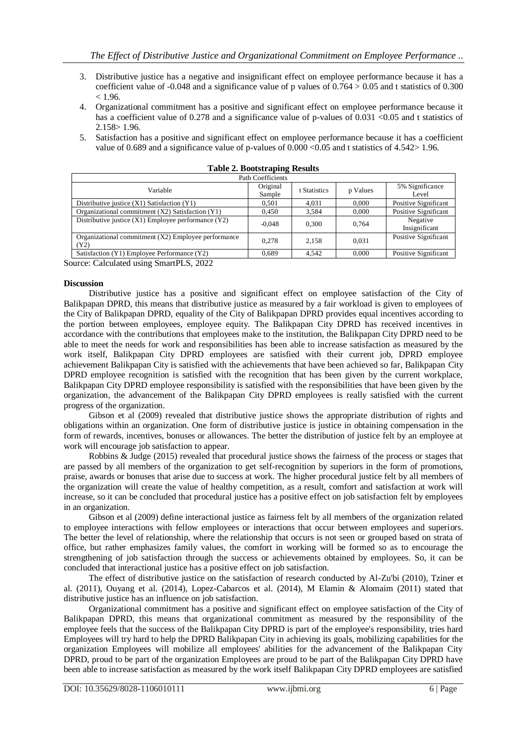- 3. Distributive justice has a negative and insignificant effect on employee performance because it has a coefficient value of -0.048 and a significance value of p values of  $0.764 > 0.05$  and t statistics of 0.300  $< 1.96$ .
- 4. Organizational commitment has a positive and significant effect on employee performance because it has a coefficient value of 0.278 and a significance value of p-values of  $0.031 \le 0.05$  and t statistics of 2.158> 1.96.
- 5. Satisfaction has a positive and significant effect on employee performance because it has a coefficient value of 0.689 and a significance value of p-values of  $0.000 \le 0.05$  and t statistics of 4.542 > 1.96.

|                                                               | Path Coefficients  |              |          |                           |
|---------------------------------------------------------------|--------------------|--------------|----------|---------------------------|
| Variable                                                      | Original<br>Sample | t Statistics | p Values | 5% Significance<br>Level  |
| Distributive justice (X1) Satisfaction (Y1)                   | 0.501              | 4.031        | 0.000    | Positive Significant      |
| Organizational commitment (X2) Satisfaction (Y1)              | 0.450              | 3.584        | 0.000    | Positive Significant      |
| Distributive justice $(X1)$ Employee performance $(Y2)$       | $-0.048$           | 0.300        | 0.764    | Negative<br>Insignificant |
| Organizational commitment $(X2)$ Employee performance<br>(Y2) | 0.278              | 2.158        | 0.031    | Positive Significant      |
| Satisfaction (Y1) Employee Performance (Y2)                   | 0.689              | 4.542        | 0.000    | Positive Significant      |

| <b>Table 2. Bootstraping Results</b> |  |  |  |
|--------------------------------------|--|--|--|
|--------------------------------------|--|--|--|

Source: Calculated using SmartPLS, 2022

#### **Discussion**

Distributive justice has a positive and significant effect on employee satisfaction of the City of Balikpapan DPRD, this means that distributive justice as measured by a fair workload is given to employees of the City of Balikpapan DPRD, equality of the City of Balikpapan DPRD provides equal incentives according to the portion between employees, employee equity. The Balikpapan City DPRD has received incentives in accordance with the contributions that employees make to the institution, the Balikpapan City DPRD need to be able to meet the needs for work and responsibilities has been able to increase satisfaction as measured by the work itself, Balikpapan City DPRD employees are satisfied with their current job, DPRD employee achievement Balikpapan City is satisfied with the achievements that have been achieved so far, Balikpapan City DPRD employee recognition is satisfied with the recognition that has been given by the current workplace, Balikpapan City DPRD employee responsibility is satisfied with the responsibilities that have been given by the organization, the advancement of the Balikpapan City DPRD employees is really satisfied with the current progress of the organization.

Gibson et al (2009) revealed that distributive justice shows the appropriate distribution of rights and obligations within an organization. One form of distributive justice is justice in obtaining compensation in the form of rewards, incentives, bonuses or allowances. The better the distribution of justice felt by an employee at work will encourage job satisfaction to appear.

Robbins & Judge (2015) revealed that procedural justice shows the fairness of the process or stages that are passed by all members of the organization to get self-recognition by superiors in the form of promotions, praise, awards or bonuses that arise due to success at work. The higher procedural justice felt by all members of the organization will create the value of healthy competition, as a result, comfort and satisfaction at work will increase, so it can be concluded that procedural justice has a positive effect on job satisfaction felt by employees in an organization.

Gibson et al (2009) define interactional justice as fairness felt by all members of the organization related to employee interactions with fellow employees or interactions that occur between employees and superiors. The better the level of relationship, where the relationship that occurs is not seen or grouped based on strata of office, but rather emphasizes family values, the comfort in working will be formed so as to encourage the strengthening of job satisfaction through the success or achievements obtained by employees. So, it can be concluded that interactional justice has a positive effect on job satisfaction.

The effect of distributive justice on the satisfaction of research conducted by Al-Zu'bi (2010), Tziner et al. (2011), Ouyang et al. (2014), Lopez-Cabarcos et al. (2014), M Elamin & Alomaim (2011) stated that distributive justice has an influence on job satisfaction.

Organizational commitment has a positive and significant effect on employee satisfaction of the City of Balikpapan DPRD, this means that organizational commitment as measured by the responsibility of the employee feels that the success of the Balikpapan City DPRD is part of the employee's responsibility, tries hard Employees will try hard to help the DPRD Balikpapan City in achieving its goals, mobilizing capabilities for the organization Employees will mobilize all employees' abilities for the advancement of the Balikpapan City DPRD, proud to be part of the organization Employees are proud to be part of the Balikpapan City DPRD have been able to increase satisfaction as measured by the work itself Balikpapan City DPRD employees are satisfied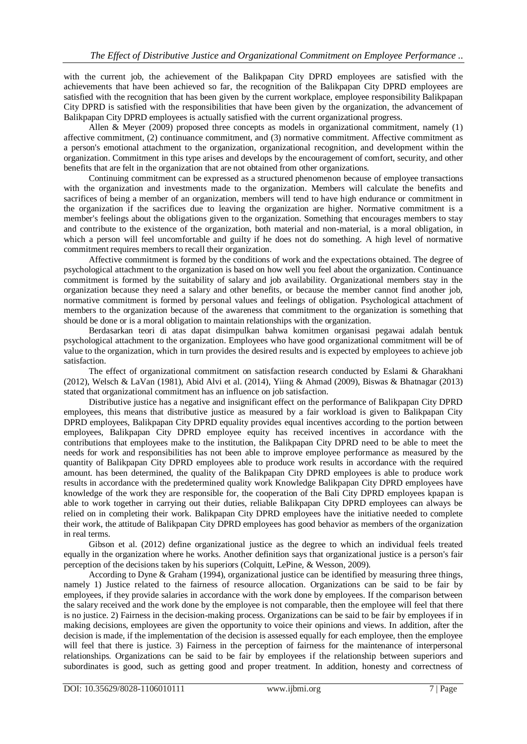with the current job, the achievement of the Balikpapan City DPRD employees are satisfied with the achievements that have been achieved so far, the recognition of the Balikpapan City DPRD employees are satisfied with the recognition that has been given by the current workplace, employee responsibility Balikpapan City DPRD is satisfied with the responsibilities that have been given by the organization, the advancement of Balikpapan City DPRD employees is actually satisfied with the current organizational progress.

Allen & Meyer (2009) proposed three concepts as models in organizational commitment, namely (1) affective commitment, (2) continuance commitment, and (3) normative commitment. Affective commitment as a person's emotional attachment to the organization, organizational recognition, and development within the organization. Commitment in this type arises and develops by the encouragement of comfort, security, and other benefits that are felt in the organization that are not obtained from other organizations.

Continuing commitment can be expressed as a structured phenomenon because of employee transactions with the organization and investments made to the organization. Members will calculate the benefits and sacrifices of being a member of an organization, members will tend to have high endurance or commitment in the organization if the sacrifices due to leaving the organization are higher. Normative commitment is a member's feelings about the obligations given to the organization. Something that encourages members to stay and contribute to the existence of the organization, both material and non-material, is a moral obligation, in which a person will feel uncomfortable and guilty if he does not do something. A high level of normative commitment requires members to recall their organization.

Affective commitment is formed by the conditions of work and the expectations obtained. The degree of psychological attachment to the organization is based on how well you feel about the organization. Continuance commitment is formed by the suitability of salary and job availability. Organizational members stay in the organization because they need a salary and other benefits, or because the member cannot find another job, normative commitment is formed by personal values and feelings of obligation. Psychological attachment of members to the organization because of the awareness that commitment to the organization is something that should be done or is a moral obligation to maintain relationships with the organization.

Berdasarkan teori di atas dapat disimpulkan bahwa komitmen organisasi pegawai adalah bentuk psychological attachment to the organization. Employees who have good organizational commitment will be of value to the organization, which in turn provides the desired results and is expected by employees to achieve job satisfaction.

The effect of organizational commitment on satisfaction research conducted by Eslami & Gharakhani (2012), Welsch & LaVan (1981), Abid Alvi et al. (2014), Yiing & Ahmad (2009), Biswas & Bhatnagar (2013) stated that organizational commitment has an influence on job satisfaction.

Distributive justice has a negative and insignificant effect on the performance of Balikpapan City DPRD employees, this means that distributive justice as measured by a fair workload is given to Balikpapan City DPRD employees, Balikpapan City DPRD equality provides equal incentives according to the portion between employees, Balikpapan City DPRD employee equity has received incentives in accordance with the contributions that employees make to the institution, the Balikpapan City DPRD need to be able to meet the needs for work and responsibilities has not been able to improve employee performance as measured by the quantity of Balikpapan City DPRD employees able to produce work results in accordance with the required amount. has been determined, the quality of the Balikpapan City DPRD employees is able to produce work results in accordance with the predetermined quality work Knowledge Balikpapan City DPRD employees have knowledge of the work they are responsible for, the cooperation of the Bali City DPRD employees kpapan is able to work together in carrying out their duties, reliable Balikpapan City DPRD employees can always be relied on in completing their work. Balikpapan City DPRD employees have the initiative needed to complete their work, the attitude of Balikpapan City DPRD employees has good behavior as members of the organization in real terms.

Gibson et al. (2012) define organizational justice as the degree to which an individual feels treated equally in the organization where he works. Another definition says that organizational justice is a person's fair perception of the decisions taken by his superiors (Colquitt, LePine, & Wesson, 2009).

According to Dyne & Graham (1994), organizational justice can be identified by measuring three things, namely 1) Justice related to the fairness of resource allocation. Organizations can be said to be fair by employees, if they provide salaries in accordance with the work done by employees. If the comparison between the salary received and the work done by the employee is not comparable, then the employee will feel that there is no justice. 2) Fairness in the decision-making process. Organizations can be said to be fair by employees if in making decisions, employees are given the opportunity to voice their opinions and views. In addition, after the decision is made, if the implementation of the decision is assessed equally for each employee, then the employee will feel that there is justice. 3) Fairness in the perception of fairness for the maintenance of interpersonal relationships. Organizations can be said to be fair by employees if the relationship between superiors and subordinates is good, such as getting good and proper treatment. In addition, honesty and correctness of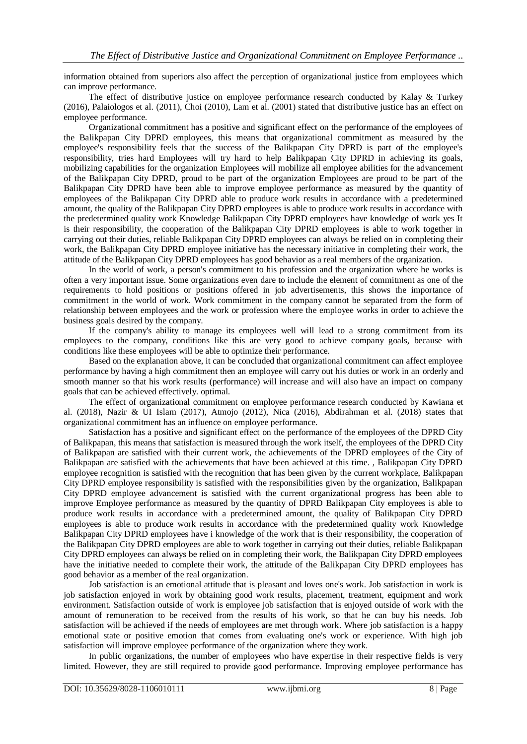information obtained from superiors also affect the perception of organizational justice from employees which can improve performance.

The effect of distributive justice on employee performance research conducted by Kalay & Turkey (2016), Palaiologos et al. (2011), Choi (2010), Lam et al. (2001) stated that distributive justice has an effect on employee performance.

Organizational commitment has a positive and significant effect on the performance of the employees of the Balikpapan City DPRD employees, this means that organizational commitment as measured by the employee's responsibility feels that the success of the Balikpapan City DPRD is part of the employee's responsibility, tries hard Employees will try hard to help Balikpapan City DPRD in achieving its goals, mobilizing capabilities for the organization Employees will mobilize all employee abilities for the advancement of the Balikpapan City DPRD, proud to be part of the organization Employees are proud to be part of the Balikpapan City DPRD have been able to improve employee performance as measured by the quantity of employees of the Balikpapan City DPRD able to produce work results in accordance with a predetermined amount, the quality of the Balikpapan City DPRD employees is able to produce work results in accordance with the predetermined quality work Knowledge Balikpapan City DPRD employees have knowledge of work yes It is their responsibility, the cooperation of the Balikpapan City DPRD employees is able to work together in carrying out their duties, reliable Balikpapan City DPRD employees can always be relied on in completing their work, the Balikpapan City DPRD employee initiative has the necessary initiative in completing their work, the attitude of the Balikpapan City DPRD employees has good behavior as a real members of the organization.

In the world of work, a person's commitment to his profession and the organization where he works is often a very important issue. Some organizations even dare to include the element of commitment as one of the requirements to hold positions or positions offered in job advertisements, this shows the importance of commitment in the world of work. Work commitment in the company cannot be separated from the form of relationship between employees and the work or profession where the employee works in order to achieve the business goals desired by the company.

If the company's ability to manage its employees well will lead to a strong commitment from its employees to the company, conditions like this are very good to achieve company goals, because with conditions like these employees will be able to optimize their performance.

Based on the explanation above, it can be concluded that organizational commitment can affect employee performance by having a high commitment then an employee will carry out his duties or work in an orderly and smooth manner so that his work results (performance) will increase and will also have an impact on company goals that can be achieved effectively. optimal.

The effect of organizational commitment on employee performance research conducted by Kawiana et al. (2018), Nazir & UI Islam (2017), Atmojo (2012), Nica (2016), Abdirahman et al. (2018) states that organizational commitment has an influence on employee performance.

Satisfaction has a positive and significant effect on the performance of the employees of the DPRD City of Balikpapan, this means that satisfaction is measured through the work itself, the employees of the DPRD City of Balikpapan are satisfied with their current work, the achievements of the DPRD employees of the City of Balikpapan are satisfied with the achievements that have been achieved at this time. , Balikpapan City DPRD employee recognition is satisfied with the recognition that has been given by the current workplace, Balikpapan City DPRD employee responsibility is satisfied with the responsibilities given by the organization, Balikpapan City DPRD employee advancement is satisfied with the current organizational progress has been able to improve Employee performance as measured by the quantity of DPRD Balikpapan City employees is able to produce work results in accordance with a predetermined amount, the quality of Balikpapan City DPRD employees is able to produce work results in accordance with the predetermined quality work Knowledge Balikpapan City DPRD employees have i knowledge of the work that is their responsibility, the cooperation of the Balikpapan City DPRD employees are able to work together in carrying out their duties, reliable Balikpapan City DPRD employees can always be relied on in completing their work, the Balikpapan City DPRD employees have the initiative needed to complete their work, the attitude of the Balikpapan City DPRD employees has good behavior as a member of the real organization.

Job satisfaction is an emotional attitude that is pleasant and loves one's work. Job satisfaction in work is job satisfaction enjoyed in work by obtaining good work results, placement, treatment, equipment and work environment. Satisfaction outside of work is employee job satisfaction that is enjoyed outside of work with the amount of remuneration to be received from the results of his work, so that he can buy his needs. Job satisfaction will be achieved if the needs of employees are met through work. Where job satisfaction is a happy emotional state or positive emotion that comes from evaluating one's work or experience. With high job satisfaction will improve employee performance of the organization where they work.

In public organizations, the number of employees who have expertise in their respective fields is very limited. However, they are still required to provide good performance. Improving employee performance has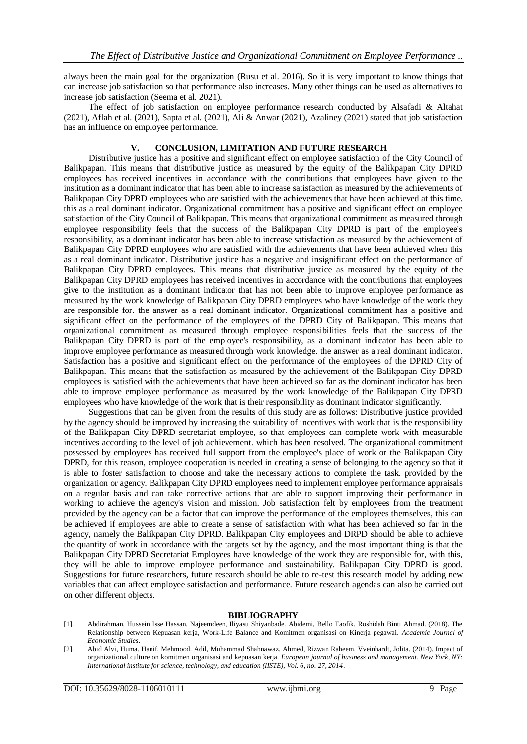always been the main goal for the organization (Rusu et al. 2016). So it is very important to know things that can increase job satisfaction so that performance also increases. Many other things can be used as alternatives to increase job satisfaction (Seema et al. 2021).

The effect of job satisfaction on employee performance research conducted by Alsafadi & Altahat (2021), Aflah et al. (2021), Sapta et al. (2021), Ali & Anwar (2021), Azaliney (2021) stated that job satisfaction has an influence on employee performance.

### **V. CONCLUSION, LIMITATION AND FUTURE RESEARCH**

Distributive justice has a positive and significant effect on employee satisfaction of the City Council of Balikpapan. This means that distributive justice as measured by the equity of the Balikpapan City DPRD employees has received incentives in accordance with the contributions that employees have given to the institution as a dominant indicator that has been able to increase satisfaction as measured by the achievements of Balikpapan City DPRD employees who are satisfied with the achievements that have been achieved at this time. this as a real dominant indicator. Organizational commitment has a positive and significant effect on employee satisfaction of the City Council of Balikpapan. This means that organizational commitment as measured through employee responsibility feels that the success of the Balikpapan City DPRD is part of the employee's responsibility, as a dominant indicator has been able to increase satisfaction as measured by the achievement of Balikpapan City DPRD employees who are satisfied with the achievements that have been achieved when this as a real dominant indicator. Distributive justice has a negative and insignificant effect on the performance of Balikpapan City DPRD employees. This means that distributive justice as measured by the equity of the Balikpapan City DPRD employees has received incentives in accordance with the contributions that employees give to the institution as a dominant indicator that has not been able to improve employee performance as measured by the work knowledge of Balikpapan City DPRD employees who have knowledge of the work they are responsible for. the answer as a real dominant indicator. Organizational commitment has a positive and significant effect on the performance of the employees of the DPRD City of Balikpapan. This means that organizational commitment as measured through employee responsibilities feels that the success of the Balikpapan City DPRD is part of the employee's responsibility, as a dominant indicator has been able to improve employee performance as measured through work knowledge. the answer as a real dominant indicator. Satisfaction has a positive and significant effect on the performance of the employees of the DPRD City of Balikpapan. This means that the satisfaction as measured by the achievement of the Balikpapan City DPRD employees is satisfied with the achievements that have been achieved so far as the dominant indicator has been able to improve employee performance as measured by the work knowledge of the Balikpapan City DPRD employees who have knowledge of the work that is their responsibility as dominant indicator significantly.

Suggestions that can be given from the results of this study are as follows: Distributive justice provided by the agency should be improved by increasing the suitability of incentives with work that is the responsibility of the Balikpapan City DPRD secretariat employee, so that employees can complete work with measurable incentives according to the level of job achievement. which has been resolved. The organizational commitment possessed by employees has received full support from the employee's place of work or the Balikpapan City DPRD, for this reason, employee cooperation is needed in creating a sense of belonging to the agency so that it is able to foster satisfaction to choose and take the necessary actions to complete the task. provided by the organization or agency. Balikpapan City DPRD employees need to implement employee performance appraisals on a regular basis and can take corrective actions that are able to support improving their performance in working to achieve the agency's vision and mission. Job satisfaction felt by employees from the treatment provided by the agency can be a factor that can improve the performance of the employees themselves, this can be achieved if employees are able to create a sense of satisfaction with what has been achieved so far in the agency, namely the Balikpapan City DPRD. Balikpapan City employees and DRPD should be able to achieve the quantity of work in accordance with the targets set by the agency, and the most important thing is that the Balikpapan City DPRD Secretariat Employees have knowledge of the work they are responsible for, with this, they will be able to improve employee performance and sustainability. Balikpapan City DPRD is good. Suggestions for future researchers, future research should be able to re-test this research model by adding new variables that can affect employee satisfaction and performance. Future research agendas can also be carried out on other different objects.

#### **BIBLIOGRAPHY**

[1]. Abdirahman, Hussein Isse Hassan. Najeemdeen, Iliyasu Shiyanbade. Abidemi, Bello Taofik. Roshidah Binti Ahmad. (2018). The Relationship between Kepuasan kerja, Work-Life Balance and Komitmen organisasi on Kinerja pegawai. *Academic Journal of Economic Studies*.

<sup>[2].</sup> Abid Alvi, Huma. Hanif, Mehmood. Adil, Muhammad Shahnawaz. Ahmed, Rizwan Raheem. Vveinhardt, Jolita. (2014). Impact of organizational culture on komitmen organisasi and kepuasan kerja. *European journal of business and management. New York, NY: International institute for science, technology, and education (IISTE), Vol. 6, no. 27, 2014*.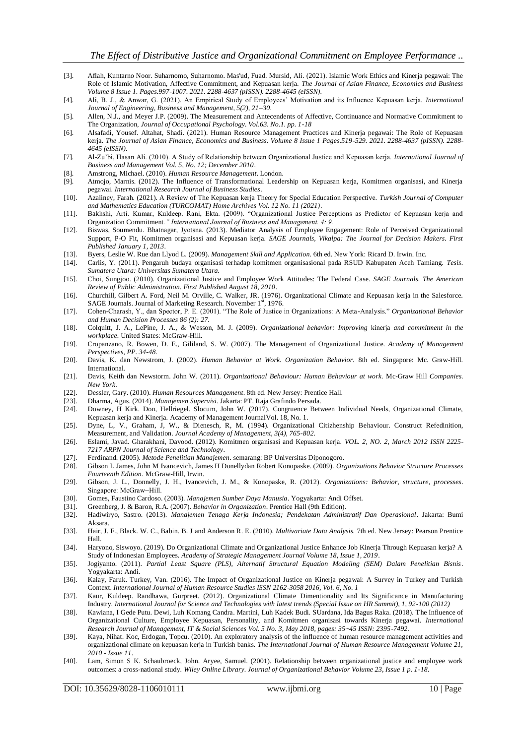- [3]. Aflah, Kuntarno Noor. Suharnomo, Suharnomo. Mas'ud, Fuad. Mursid, Ali. (2021). Islamic Work Ethics and Kinerja pegawai: The Role of Islamic Motivation, Affective Commitment, and Kepuasan kerja. *The Journal of Asian Finance, Economics and Business Volume 8 Issue 1. Pages.997-1007. 2021. 2288-4637 (pISSN). 2288-4645 (eISSN)*.
- [4]. Ali, B. J., & Anwar, G. (2021). An Empirical Study of Employees' Motivation and its Influence Kepuasan kerja. *International Journal of Engineering, Business and Management, 5(2), 21–30*.
- [5]. Allen, N.J., and Meyer J.P. (2009). The Measurement and Antecendents of Affective, Continuance and Normative Commitment to The Organization, *Journal of Occupational Psychology. Vol.63. No.1. pp. 1-18*
- [6]. Alsafadi, Yousef. Altahat, Shadi. (2021). Human Resource Management Practices and Kinerja pegawai: The Role of Kepuasan kerja. *The Journal of Asian Finance, Economics and Business. Volume 8 Issue 1 Pages.519-529. 2021. 2288-4637 (pISSN). 2288- 4645 (eISSN)*.
- [7]. Al-Zu'bi, Hasan Ali. (2010). A Study of Relationship between Organizational Justice and Kepuasan kerja. *International Journal of Business and Management Vol. 5, No. 12; December 2010*.
- [8]. Amstrong, Michael. (2010). *Human Resource Management*. London.
- [9]. Atmojo, Marnis. (2012). The Influence of Transformational Leadership on Kepuasan kerja, Komitmen organisasi, and Kinerja pegawai. *International Research Journal of Business Studies*.
- [10]. Azaliney, Farah. (2021). A Review of The Kepuasan kerja Theory for Special Education Perspective. *Turkish Journal of Computer and Mathematics Education (TURCOMAT) Home Archives Vol. 12 No. 11 (2021)*.
- [11]. Bakhshi, Arti. Kumar, Kuldeep. Rani, Ekta. (2009). "Organizational Justice Perceptions as Predictor of Kepuasan kerja and Organization Commitment*." International Journal of Business and Management. 4: 9.*
- [12]. Biswas, Soumendu. Bhatnagar, Jyotsna. (2013). Mediator Analysis of Employee Engagement: Role of Perceived Organizational Support, P-O Fit, Komitmen organisasi and Kepuasan kerja. *SAGE Journals, Vikalpa: The Journal for Decision Makers. First Published January 1, 2013*.
- [13]. Byers, Leslie W. Rue dan Llyod L. (2009). *Management Skill and Application.* 6th ed. New York: Ricard D. Irwin. Inc.
- [14]. Carlis, Y. (2011). Pengaruh budaya organisasi terhadap komitmen organisasional pada RSUD Kabupaten Aceh Tamiang. *Tesis. Sumatera Utara: Universitas Sumatera Utara.*
- [15]. Choi, Sungjoo. (2010). Organizational Justice and Employee Work Attitudes: The Federal Case. *SAGE Journals. The American Review of Public Administration. First Published August 18, 2010*.
- [16]. Churchill, Gilbert A. Ford, Neil M. Orville, C. Walker, JR. (1976). Organizational Climate and Kepuasan kerja in the Salesforce. SAGE Journals. Journal of Marketing Research. November 1st, 1976.
- [17]. Cohen-Charash, Y., dan Spector, P. E. (2001). "The Role of Justice in Organizations: A Meta-Analysis." *Organizational Behavior and Human Decision Processes 86 (2): 27.*
- [18]. Colquitt, J. A., LePine, J. A., & Wesson, M. J. (2009). *Organizational behavior: Improving* kinerja *and commitment in the workplace.* United States: McGraw-Hill.
- [19]. Cropanzano, R. Bowen, D. E., Gililand, S. W. (2007). The Management of Organizational Justice. *Academy of Management Perspectives, PP. 34-48.*
- [20]. Davis, K. dan Newstrom, J. (2002). *Human Behavior at Work. Organization Behavior.* 8th ed. Singapore: Mc. Graw-Hill. International.
- [21]. Davis, Keith dan Newstorm. John W. (2011). *Organizational Behaviour: Human Behaviour at work.* Mc-Graw Hill *Companies. New York*.
- [22]. Dessler, Gary. (2010). *Human Resources Management*. 8th ed. New Jersey: Prentice Hall.
- [23]. Dharma, Agus. (2014). *Manajemen Supervisi*. Jakarta: PT. Raja Grafindo Persada.
- [24]. Downey, H Kirk. Don, Hellriegel. Slocum, John W. (2017). Congruence Between Individual Needs, Organizational Climate, Kepuasan kerja and Kinerja. Academy of Management JournalVol. 18, No. 1.
- [25]. Dyne, L, V., Graham, J, W., & Dienesch, R, M. (1994). Organizational Citizhenship Behaviour. Construct Refedinition, Measurement, and Validation. *Journal Academy of Management, 3(4), 765-802.*
- [26]. Eslami, Javad. Gharakhani, Davood. (2012). Komitmen organisasi and Kepuasan kerja. *VOL. 2, NO. 2, March 2012 ISSN 2225- 7217 ARPN Journal of Science and Technology*.
- [27]. Ferdinand. (2005). *Metode Penelitian Manajemen*. semarang: BP Universitas Diponogoro.
- [28]. Gibson L James, John M Ivancevich, James H Donellydan Robert Konopaske. (2009). *Organizations Behavior Structure Processes Fourteenth Edition*. McGraw-Hill, Irwin.
- [29]. Gibson, J. L., Donnelly, J. H., Ivancevich, J. M., & Konopaske, R. (2012). *Organizations: Behavior, structure, processes*. Singapore: McGraw−Hill.
- [30]. Gomes, Faustino Cardoso. (2003). *Manajemen Sumber Daya Manusia*. Yogyakarta: Andi Offset.
- [31]. Greenberg, J. & Baron, R.A. (2007). *Behavior in Organization*. Prentice Hall (9th Edition).
- [32]. Hadiwiryo, Sastro. (2013). *Manajemen Tenaga Kerja Indonesia; Pendekatan Administratif Dan Operasional*. Jakarta: Bumi Aksara.
- [33]. Hair, J. F., Black. W. C., Babin. B. J and Anderson R. E. (2010). *Multivariate Data Analysis.* 7th ed. New Jersey: Pearson Prentice Hall.
- [34]. Haryono, Siswoyo. (2019). Do Organizational Climate and Organizational Justice Enhance Job Kinerja Through Kepuasan kerja? A Study of Indonesian Employees. *Academy of Strategic Management Journal Volume 18, Issue 1, 2019*.
- [35]. Jogiyanto. (2011). *Partial Least Square (PLS), Alternatif Structural Equation Modeling (SEM) Dalam Penelitian Bisnis*. Yogyakarta: Andi.
- [36]. Kalay, Faruk. Turkey, Van. (2016). The Impact of Organizational Justice on Kinerja pegawai: A Survey in Turkey and Turkish Context. *International Journal of Human Resource Studies ISSN 2162-3058 2016, Vol. 6, No. 1*
- [37]. Kaur, Kuldeep. Randhawa, Gurpreet. (2012). Organizational Climate Dimentionality and Its Significance in Manufacturing Industry. *International Journal for Science and Technologies with latest trends (Special Issue on HR Summit), 1, 92-100 (2012)*
- [38]. Kawiana, I Gede Putu. Dewi, Luh Komang Candra. Martini, Luh Kadek Budi. SUardana, Ida Bagus Raka. (2018). The Influence of Organizational Culture, Employee Kepuasan, Personality, and Komitmen organisasi towards Kinerja pegawai. *International Research Journal of Management, IT & Social Sciences Vol. 5 No. 3, May 2018, pages: 35~45 ISSN: 2395-7492*.
- [39]. Kaya, Nihat. Koc, Erdogan, Topcu. (2010). An exploratory analysis of the influence of human resource management activities and organizational climate on kepuasan kerja in Turkish banks. *The International Journal of Human Resource Management Volume 21, 2010 - Issue 11*.
- [40]. Lam, Simon S K. Schaubroeck, John. Aryee, Samuel. (2001). Relationship between organizational justice and employee work outcomes: a cross-national study. *Wiley Online Library. Journal of Organizational Behavior Volume 23, Issue 1 p. 1-18.*